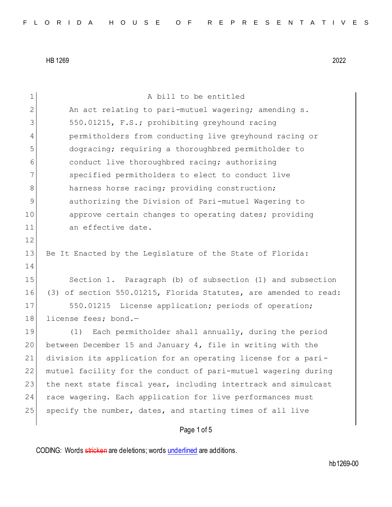| $\mathbf 1$ | A bill to be entitled                                            |
|-------------|------------------------------------------------------------------|
| 2           | An act relating to pari-mutuel wagering; amending s.             |
| 3           | 550.01215, F.S.; prohibiting greyhound racing                    |
| 4           | permitholders from conducting live greyhound racing or           |
| 5           | dogracing; requiring a thoroughbred permitholder to              |
| 6           | conduct live thoroughbred racing; authorizing                    |
| 7           | specified permitholders to elect to conduct live                 |
| 8           | harness horse racing; providing construction;                    |
| 9           | authorizing the Division of Pari-mutuel Wagering to              |
| 10          | approve certain changes to operating dates; providing            |
| 11          | an effective date.                                               |
| 12          |                                                                  |
| 13          | Be It Enacted by the Legislature of the State of Florida:        |
| 14          |                                                                  |
| 15          | Section 1. Paragraph (b) of subsection (1) and subsection        |
| 16          | (3) of section 550.01215, Florida Statutes, are amended to read: |
| 17          | 550.01215 License application; periods of operation;             |
| 18          | license fees; bond.-                                             |
| 19          | Each permitholder shall annually, during the period<br>(1)       |
| 20          | between December 15 and January 4, file in writing with the      |
| 21          | division its application for an operating license for a pari-    |
| 22          | mutuel facility for the conduct of pari-mutuel wagering during   |
| 23          | the next state fiscal year, including intertrack and simulcast   |
| 24          | race wagering. Each application for live performances must       |
| 25          | specify the number, dates, and starting times of all live        |
|             | Page 1 of 5                                                      |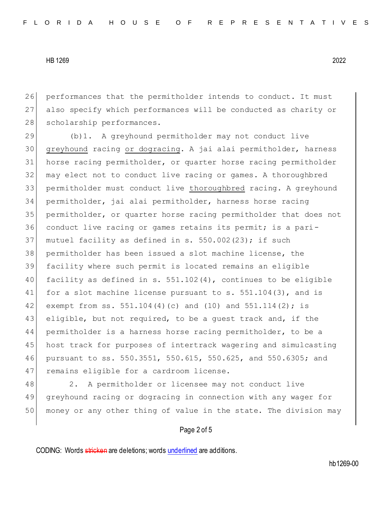26 performances that the permitholder intends to conduct. It must 27 also specify which performances will be conducted as charity or 28 scholarship performances.

 (b)1. A greyhound permitholder may not conduct live greyhound racing or dogracing. A jai alai permitholder, harness horse racing permitholder, or quarter horse racing permitholder may elect not to conduct live racing or games. A thoroughbred permitholder must conduct live thoroughbred racing. A greyhound permitholder, jai alai permitholder, harness horse racing permitholder, or quarter horse racing permitholder that does not conduct live racing or games retains its permit; is a pari-37 mutuel facility as defined in s.  $550.002(23)$ ; if such permitholder has been issued a slot machine license, the facility where such permit is located remains an eligible facility as defined in s. 551.102(4), continues to be eligible 41 for a slot machine license pursuant to  $s. 551.104(3)$ , and is 42 exempt from ss. 551.104(4)(c) and (10) and 551.114(2); is 43 eligible, but not required, to be a guest track and, if the permitholder is a harness horse racing permitholder, to be a host track for purposes of intertrack wagering and simulcasting pursuant to ss. 550.3551, 550.615, 550.625, and 550.6305; and 47 remains eligible for a cardroom license.

48 2. A permitholder or licensee may not conduct live 49 greyhound racing or dogracing in connection with any wager for 50 money or any other thing of value in the state. The division may

#### Page 2 of 5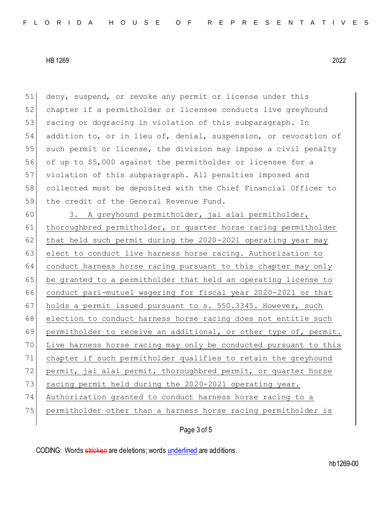51 deny, suspend, or revoke any permit or license under this 52 chapter if a permitholder or licensee conducts live greyhound 53 racing or dogracing in violation of this subparagraph. In 54 addition to, or in lieu of, denial, suspension, or revocation of 55 such permit or license, the division may impose a civil penalty 56 of up to \$5,000 against the permitholder or licensee for a 57 violation of this subparagraph. All penalties imposed and 58 collected must be deposited with the Chief Financial Officer to 59 the credit of the General Revenue Fund.

60 3. A greyhound permitholder, jai alai permitholder, 61 thoroughbred permitholder, or quarter horse racing permitholder 62 that held such permit during the  $2020 - 2021$  operating year may 63 elect to conduct live harness horse racing. Authorization to 64 conduct harness horse racing pursuant to this chapter may only 65 be granted to a permitholder that held an operating license to 66 conduct pari-mutuel wagering for fiscal year 2020-2021 or that 67 holds a permit issued pursuant to s. 550.3345. However, such 68 election to conduct harness horse racing does not entitle such 69 permitholder to receive an additional, or other type of, permit. 70 Live harness horse racing may only be conducted pursuant to this 71 chapter if such permitholder qualifies to retain the greyhound 72 permit, jai alai permit, thoroughbred permit, or quarter horse 73 racing permit held during the 2020-2021 operating year. 74 Authorization granted to conduct harness horse racing to a 75 permitholder other than a harness horse racing permitholder is

# Page 3 of 5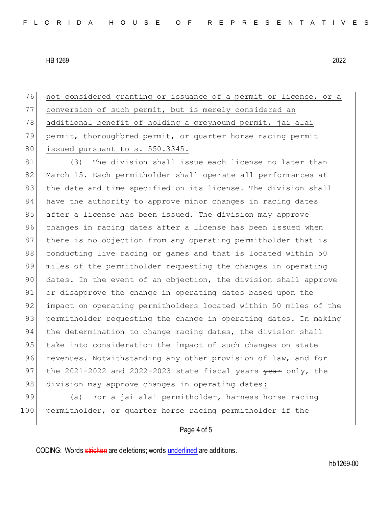76 not considered granting or issuance of a permit or license, or a 77 conversion of such permit, but is merely considered an 78 additional benefit of holding a greyhound permit, jai alai 79 permit, thoroughbred permit, or quarter horse racing permit 80 issued pursuant to s. 550.3345.

81 (3) The division shall issue each license no later than 82 March 15. Each permitholder shall operate all performances at 83 the date and time specified on its license. The division shall 84 have the authority to approve minor changes in racing dates 85 after a license has been issued. The division may approve 86 changes in racing dates after a license has been issued when 87 there is no objection from any operating permitholder that is 88 conducting live racing or games and that is located within 50 89 miles of the permitholder requesting the changes in operating 90 dates. In the event of an objection, the division shall approve 91 or disapprove the change in operating dates based upon the 92 impact on operating permitholders located within 50 miles of the 93 permitholder requesting the change in operating dates. In making 94 the determination to change racing dates, the division shall 95 take into consideration the impact of such changes on state 96 revenues. Notwithstanding any other provision of law, and for 97 the 2021-2022 and 2022-2023 state fiscal years  $\frac{1}{2}$  wear only, the 98 division may approve changes in operating dates:

99 (a) For a jai alai permitholder, harness horse racing 100 permitholder, or quarter horse racing permitholder if the

### Page 4 of 5